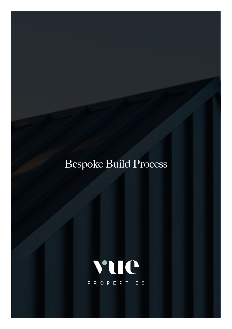# Bespoke Build Process



PROPERTIES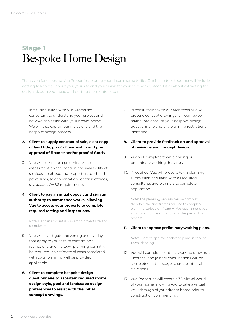# **Stage 1** Bespoke Home Design

Thank you for choosing Vue Properties to bring your dream home to life. Our firsts steps together will include getting to know all about you, your site and your vision for your new home. Stage 1 is all about extracting the design ideas in your head and putting them onto paper.

- 1. Initial discussion with Vue Properties consultant to understand your project and how we can assist with your dream home. We will also explain our inclusions and the bespoke design process.
- **2. Client to supply contract of sale, clear copy of land title, proof of ownership and preapproval of finance and/or proof of funds.**
- 3. Vue will complete a preliminary site assessment on the location and availability of services, neighbouring properties, overhead powerlines, solar orientation, location of trees, site access, OH&S requirements.
- **4. Client to pay an initial deposit and sign an authority to commence works, allowing Vue to access your property to complete required testing and inspections.**

Note: Deposit amount is subject to project size and complexity.

- 5. Vue will investigate the zoning and overlays that apply to your site to confirm any restrictions, and if a town planning permit will be required. An estimate of costs associated with town planning will be provided if applicable.
- **6. Client to complete bespoke design questionnaire to ascertain required rooms, design style, pool and landscape design preferences to assist with the initial concept drawings.**

7. In consultation with our architects Vue will prepare concept drawings for your review, taking into account your bespoke design questionnaire and any planning restrictions identified.

#### **8. Client to provide feedback on and approval of revisions and concept design.**

- 9. Vue will complete town planning or preliminary working drawings.
- 10. If required, Vue will prepare town planning submission and liaise with all required consultants and planners to complete application.

Note: The planning process can be complex, therefore the timeframe required to complete planning varies significantly. We recommend you allow 6-12 months minimum for this part of the process.

#### **11. Client to approve preliminary working plans.**

Note: Client to approve endorsed plans in case of Town Planning

- 12. Vue will complete contract working drawings. Electrical and joinery consultations will be completed at this stage to create internal elevations.
- 13. Vue Properties will create a 3D virtual world of your home, allowing you to take a virtual walk through of your dream home prior to construction commencing.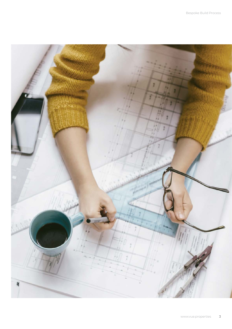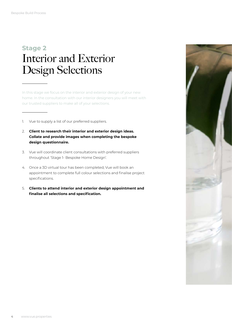# **Stage 2** Interior and Exterior Design Selections

In this stage we focus on the interior and exterior design of your new home. In the consultation with our interior designers you will meet with our trusted suppliers to make all of your selections.

- 1. Vue to supply a list of our preferred suppliers.
- 2. **Client to research their interior and exterior design ideas. Collate and provide images when completing the bespoke design questionnaire.**
- 3. Vue will coordinate client consultations with preferred suppliers throughout 'Stage 1- Bespoke Home Design'.
- 4. Once a 3D virtual tour has been completed, Vue will book an appointment to complete full colour selections and finalise project specifications.
- 5. **Clients to attend interior and exterior design appointment and finalise all selections and specification.**

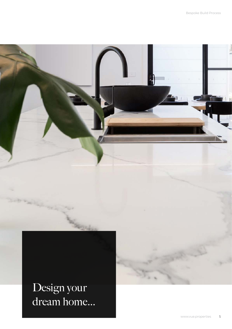

# Design your dream home...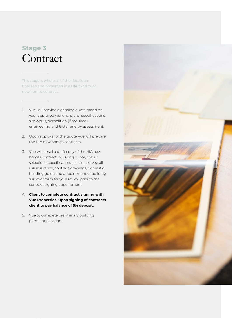# **Stage 3** Contract

This stage is where all of the details are finalised and presented in a HIA fixed price new homes contract.

- 1. Vue will provide a detailed quote based on your approved working plans, specifications, site works, demolition (if required), engineering and 6-star energy assessment.
- 2. Upon approval of the quote Vue will prepare the HIA new homes contracts.
- 3. Vue will email a draft copy of the HIA new homes contract including quote, colour selections, specification, soil test, survey, all risk insurance, contract drawings, domestic building guide and appointment of building surveyor form for your review prior to the contract signing appointment.
- 4. **Client to complete contract signing with Vue Properties. Upon signing of contracts client to pay balance of 5% deposit.**
- 5. Vue to complete preliminary building permit application.

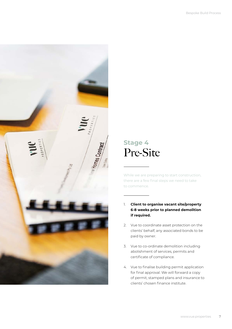

# **Stage 4** Pre-Site

While we are preparing to start construction, there are a few final steps we need to take to commence.

- 1. **Client to organise vacant site/property 6-8 weeks prior to planned demolition if required.**
- 2. Vue to coordinate asset protection on the clients' behalf, any associated bonds to be paid by owner.
- 3. Vue to co-ordinate demolition including abolishment of services, permits and certificate of compliance.
- 4. Vue to finalise building permit application for final approval. We will forward a copy of permit, stamped plans and insurance to clients' chosen finance institute.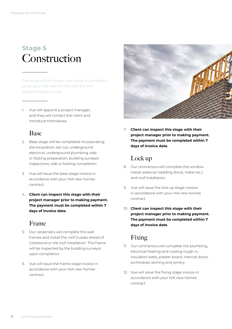## **Stage 5** Construction

The construction of your new home is completed as per your HIA new homes contract and supporting documents.

1. Vue will appoint a project manager, and they will contact the client and introduce themselves.

#### Base

- 2. Base stage will be completed incorporating site excavation, set out, underground electrical, underground plumbing, slab or footing preparation, building surveyor inspections, slab or footing completion.
- 3. Vue will issue the base stage invoice in accordance with your HIA new homes contract.
- 4. **Client can inspect this stage with their project manager prior to making payment. The payment must be completed within 7 days of invoice date.**

#### Frame

- 5. Our carpenters will complete the wall frames and install the roof trusses ahead of Colorbond or tile roof installation. This frame will be inspected by the building surveyor upon completion.
- 6. Vue will issue the frame stage invoice in accordance with your HIA new homes contract.



7. **Client can inspect this stage with their project manager prior to making payment. The payment must be completed within 7 days of invoice date.**

### Lock up

- 8. Our contractors will complete the window install, external cladding (brick, hebel etc.) and roof installation.
- 9. Vue will issue the lock up stage invoice in accordance with your HIA new homes contract.
- 10. **Client can inspect this stage with their project manager prior to making payment. The payment must be completed within 7 days of invoice date.**

### Fixing

- 11. Our contractors will complete the plumbing, electrical heating and cooling rough in, insulation batts, plaster board, internal doors, architraves, skirting and joinery.
- 12. Vue will issue the fixing stage invoice in accordance with your HIA new homes contract.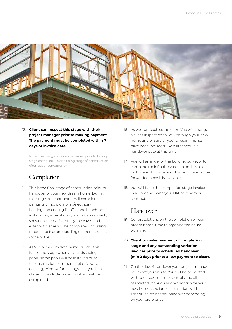

13. **Client can inspect this stage with their project manager prior to making payment. The payment must be completed within 7 days of invoice date.**

Note: The fixing stage can be issued prior to lock up stage as the lockup and fixing stage of construction often occur concurrently

### Completion

- 14. This is the final stage of construction prior to handover of your new dream home. During this stage our contractors will complete painting, tiling, plumbing/electrical/ heating and cooling fit off, stone benchtop installation, robe fit outs, mirrors, splashback, shower screens. Externally the eaves and exterior finishes will be completed including render and feature cladding elements such as stone or tile.
- 15. As Vue are a complete home builder this is also the stage when any landscaping, pools (some pools will be installed prior to construction commencing) driveways, decking, window furnishings that you have chosen to include in your contract will be completed.
- 16. As we approach completion Vue will arrange a client inspection to walk through your new home and ensure all your chosen finishes have been included. We will schedule a handover date at this time.
- 17. Vue will arrange for the building surveyor to complete their final inspection and issue a certificate of occupancy. This certificate will be forwarded once it is available.
- 18. Vue will issue the completion stage invoice in accordance with your HIA new homes contract.

#### Handover

- 19. Congratulations on the completion of your dream home, time to organise the house warming.
- 20. **Client to make payment of completion stage and any outstanding variation invoices prior to scheduled handover (min 2 days prior to allow payment to clear).**
- 21. On the day of handover your project manager will meet you on site. You will be presented with your keys, remote controls and all associated manuals and warranties for your new home. Appliance installation will be scheduled on or after handover depending on your preference.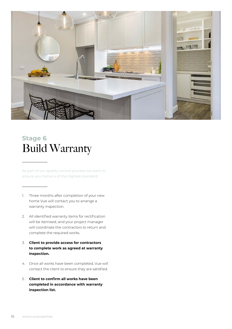

# **Stage 6** Build Warranty

As part of our quality control process we want to ensure you home is of the highest standard.

- 1. Three months after completion of your new home Vue will contact you to arrange a warranty inspection.
- 2. All identified warranty items for rectification will be itemised, and your project manager will coordinate the contractors to return and complete the required works.
- 3. **Client to provide access for contractors to complete work as agreed at warranty inspection.**
- 4. Once all works have been completed, Vue will contact the client to ensure they are satisfied.
- 5. **Client to confirm all works have been completed in accordance with warranty inspection list.**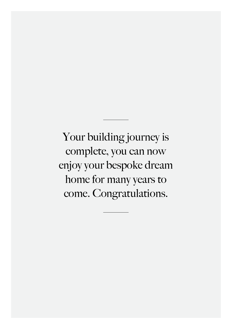Your building journey is complete, you can now enjoy your bespoke dream home for many years to come. Congratulations.